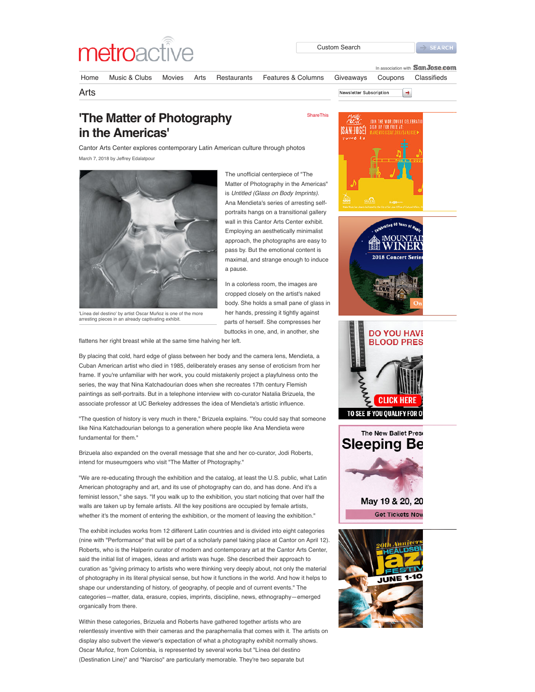

[ShareThis](javascript:void(0))

Inassociation with **SanJose.com** 

 $\rightarrow$ 

[Home](http://www.metroactive.com/) [Music & Clubs](http://www.metroactive.com/music-clubs/) [Movies](http://www.metroactive.com/movies/) [Arts](http://www.metroactive.com/arts/) [Restaurants](http://www.sanjose.com/restaurants/) [Features & Columns](http://www.metroactive.com/features/) [Giveaways](http://www.metroactive.com/giveaways/) [Coupons](http://www.metroactive.com/coupons/) [Classifieds](http://www.metroactive.com/classifieds/)

Arts **Newsletter Subscription** 

## **'The Matter of Photography in the Americas'**

Cantor Arts Center explores contemporary Latin American culture through photos March 7, 2018 by Jeffrey Edalatpour



The unofficial centerpiece of "The Matter of Photography in the Americas" is *Untitled (Glass on Body Imprints)*. Ana Mendieta's series of arresting selfportraits hangs on a transitional gallery wall in this Cantor Arts Center exhibit. Employing an aesthetically minimalist approach, the photographs are easy to pass by. But the emotional content is maximal, and strange enough to induce a pause.

In a colorless room, the images are cropped closely on the artist's naked body. She holds a small pane of glass in her hands, pressing it tightly against parts of herself. She compresses her buttocks in one, and, in another, she

'Línea del destino' by artist Oscar Muñoz is one of the more arresting pieces in an already captivating exhibit.

flattens her right breast while at the same time halving her left.

By placing that cold, hard edge of glass between her body and the camera lens, Mendieta, a Cuban American artist who died in 1985, deliberately erases any sense of eroticism from her frame. If you're unfamiliar with her work, you could mistakenly project a playfulness onto the series, the way that Nina Katchadourian does when she recreates 17th century Flemish paintings as self-portraits. But in a telephone interview with co-curator Natalia Brizuela, the associate professor at UC Berkeley addresses the idea of Mendieta's artistic influence.

"The question of history is very much in there," Brizuela explains. "You could say that someone like Nina Katchadourian belongs to a generation where people like Ana Mendieta were fundamental for them."

Brizuela also expanded on the overall message that she and her co-curator, Jodi Roberts, intend for museumgoers who visit "The Matter of Photography."

"We are re-educating through the exhibition and the catalog, at least the U.S. public, what Latin American photography and art, and its use of photography can do, and has done. And it's a feminist lesson," she says. "If you walk up to the exhibition, you start noticing that over half the walls are taken up by female artists. All the key positions are occupied by female artists, whether it's the moment of entering the exhibition, or the moment of leaving the exhibition."

The exhibit includes works from 12 different Latin countries and is divided into eight categories (nine with "Performance" that will be part of a scholarly panel taking place at Cantor on April 12). Roberts, who is the Halperin curator of modern and contemporary art at the Cantor Arts Center, said the initial list of images, ideas and artists was huge. She described their approach to curation as "giving primacy to artists who were thinking very deeply about, not only the material of photography in its literal physical sense, but how it functions in the world. And how it helps to shape our understanding of history, of geography, of people and of current events." The categories—matter, data, erasure, copies, imprints, discipline, news, ethnography—emerged organically from there.

Within these categories, Brizuela and Roberts have gathered together artists who are relentlessly inventive with their cameras and the paraphernalia that comes with it. The artists on display also subvert the viewer's expectation of what a photography exhibit normally shows. Oscar Muñoz, from Colombia, is represented by several works but "Línea del destino (Destination Line)" and "Narciso" are particularly memorable. They're two separate but